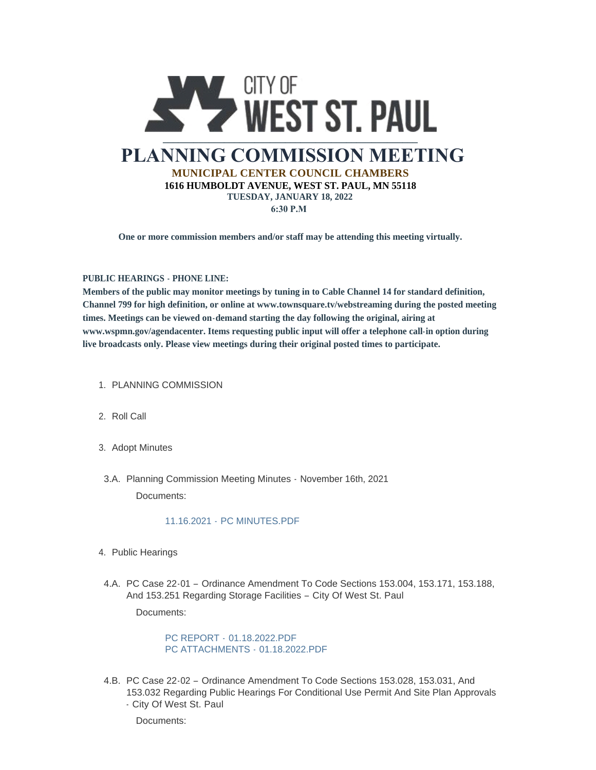

**One or more commission members and/or staff may be attending this meeting virtually.**

## **PUBLIC HEARINGS - PHONE LINE:**

**Members of the public may monitor meetings by tuning in to Cable Channel 14 for standard definition, Channel 799 for high definition, or online at www.townsquare.tv/webstreaming during the posted meeting times. Meetings can be viewed on-demand starting the day following the original, airing at www.wspmn.gov/agendacenter. Items requesting public input will offer a telephone call-in option during live broadcasts only. Please view meetings during their original posted times to participate.**

- 1. PLANNING COMMISSION
- 2. Roll Call
- 3. Adopt Minutes
- 3.A. Planning Commission Meeting Minutes November 16th, 2021 Documents:

## 11.16.2021 - [PC MINUTES.PDF](https://www.wspmn.gov/AgendaCenter/ViewFile/Item/12213?fileID=19144)

- 4. Public Hearings
- PC Case 22-01 Ordinance Amendment To Code Sections 153.004, 153.171, 153.188, 4.A. And 153.251 Regarding Storage Facilities – City Of West St. Paul

Documents:

PC REPORT - [01.18.2022.PDF](https://www.wspmn.gov/AgendaCenter/ViewFile/Item/12418?fileID=19406) [PC ATTACHMENTS -](https://www.wspmn.gov/AgendaCenter/ViewFile/Item/12418?fileID=19405) 01.18.2022.PDF

4.B. PC Case 22-02 - Ordinance Amendment To Code Sections 153.028, 153.031, And 153.032 Regarding Public Hearings For Conditional Use Permit And Site Plan Approvals - City Of West St. Paul

Documents: